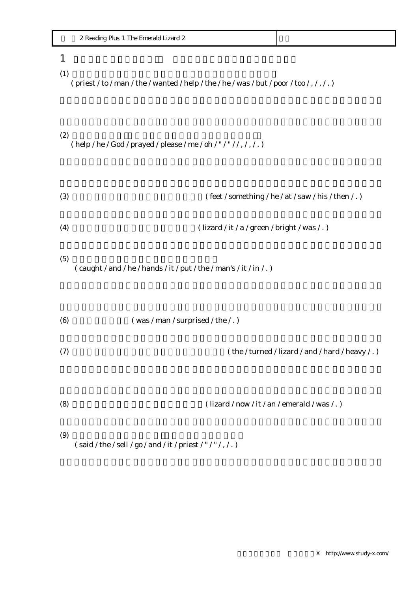| ~ ~<br>merald<br>Lizard 2<br>Plus<br>ne.<br>Readinc<br>$\frac{1}{2} \left( \frac{1}{2} \right) \left( \frac{1}{2} \right) \left( \frac{1}{2} \right) \left( \frac{1}{2} \right) \left( \frac{1}{2} \right) \left( \frac{1}{2} \right) \left( \frac{1}{2} \right) \left( \frac{1}{2} \right) \left( \frac{1}{2} \right) \left( \frac{1}{2} \right) \left( \frac{1}{2} \right) \left( \frac{1}{2} \right) \left( \frac{1}{2} \right) \left( \frac{1}{2} \right) \left( \frac{1}{2} \right) \left( \frac{1}{2} \right) \left( \frac$ |  |
|-----------------------------------------------------------------------------------------------------------------------------------------------------------------------------------------------------------------------------------------------------------------------------------------------------------------------------------------------------------------------------------------------------------------------------------------------------------------------------------------------------------------------------------|--|
|-----------------------------------------------------------------------------------------------------------------------------------------------------------------------------------------------------------------------------------------------------------------------------------------------------------------------------------------------------------------------------------------------------------------------------------------------------------------------------------------------------------------------------------|--|

## $1$

## $(1)$

( priest / to / man / the / wanted / help / the / he / was / but / poor / too / , / , / . )

- $(2)$ ( help / he / God / prayed / please / me / oh / " / " / / , / , / . )
- (3)  $(\text{feet}/\text{something}/\text{he}/\text{at}/\text{ saw}/\text{his}/\text{then}/.)$ (4)  $\frac{1}{2}$  (lizard / it / a / green / bright / was / . )  $(5)$ ( caught / and / he / hands / it / put / the / man's / it / in / . ) (6)  $(was / man / surprised / the / .)$
- (7)  $(7)$   $(2)$   $(2)$   $(3)$   $(4)$   $(4)$   $(5)$   $(7)$   $(8)$   $(8)$   $(9)$   $(1)$   $(1)$   $(1)$   $(1)$   $(1)$   $(1)$   $(1)$   $(1)$   $(1)$   $(1)$   $(1)$   $(1)$   $(1)$   $(1)$   $(1)$   $(1)$   $(1)$   $(1)$   $(1)$   $(1)$   $(1)$   $(1)$   $(1)$   $(1)$   $(1)$
- (8)  $(lizard / now / it / an / emerald / was / . )$

 $(9)$ (said / the / sell / go / and / it / priest / " / " / , / .)